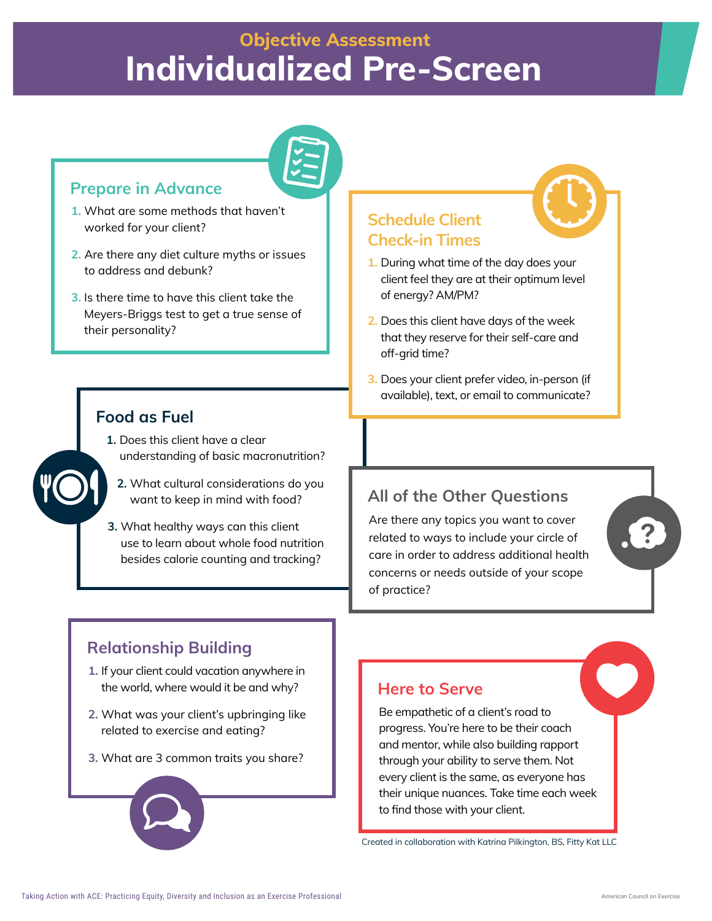# **Objective Assessment Individualized Pre-Screen**



#### **Prepare in Advance**

- **1.** What are some methods that haven't worked for your client?
- **2.** Are there any diet culture myths or issues to address and debunk?
- **3.** Is there time to have this client take the Meyers-Briggs test to get a true sense of their personality?

#### **Food as Fuel**

- **1.** Does this client have a clear understanding of basic macronutrition?
	- **2.** What cultural considerations do you want to keep in mind with food?
- **3.** What healthy ways can this client use to learn about whole food nutrition besides calorie counting and tracking?

**Schedule Client Check-in Times**

- **1.** During what time of the day does your client feel they are at their optimum level of energy? AM/PM?
- **2.** Does this client have days of the week that they reserve for their self-care and off-arid time?
- **3.** Does your client prefer video, in-person (if available), text, or email to communicate?

## **All of the Other Questions**

Are there any topics you want to cover related to ways to include your circle of care in order to address additional health concerns or needs outside of your scope of practice?

## **Relationship Building**

- **1.** If your client could vacation anywhere in the world, where would it be and why?
- **2.** What was your client's upbringing like related to exercise and eating?
- **3.** What are 3 common traits you share?



#### **Here to Serve**

Be empathetic of a client's road to progress. You're here to be their coach and mentor, while also building rapport through your ability to serve them. Not every client is the same, as everyone has their unique nuances. Take time each week to find those with your client.

Created in collaboration with Katrina Pilkington, BS, Fitty Kat LLC

 $\left[ 2 \right]$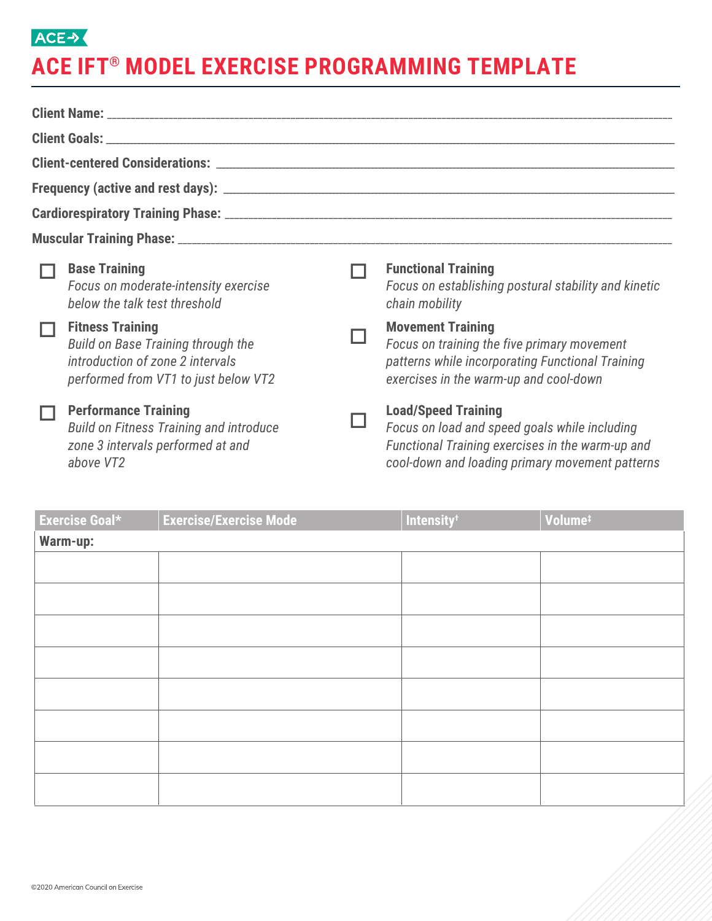## ACE-> **ACE IFT® MODEL EXERCISE PROGRAMMING TEMPLATE**

|  | <b>Base Training</b><br>Focus on moderate-intensity exercise<br>below the talk test threshold                                                    |  | <b>Functional Training</b><br>Focus on establishing postural stability and kinetic<br>chain mobility                                                                               |  |  |  |  |
|--|--------------------------------------------------------------------------------------------------------------------------------------------------|--|------------------------------------------------------------------------------------------------------------------------------------------------------------------------------------|--|--|--|--|
|  | <b>Fitness Training</b><br><b>Build on Base Training through the</b><br>introduction of zone 2 intervals<br>performed from VT1 to just below VT2 |  | <b>Movement Training</b><br>Focus on training the five primary movement<br>patterns while incorporating Functional Training<br>exercises in the warm-up and cool-down              |  |  |  |  |
|  | <b>Performance Training</b><br><b>Build on Fitness Training and introduce</b><br>zone 3 intervals performed at and<br>above VT2                  |  | <b>Load/Speed Training</b><br>Focus on load and speed goals while including<br>Functional Training exercises in the warm-up and<br>cool-down and loading primary movement patterns |  |  |  |  |

| <b>Exercise Goal*</b> | <b>Exercise/Exercise Mode</b> | Intensity <sup>t</sup> | Volume <sup>#</sup> |  |  |  |
|-----------------------|-------------------------------|------------------------|---------------------|--|--|--|
| Warm-up:              |                               |                        |                     |  |  |  |
|                       |                               |                        |                     |  |  |  |
|                       |                               |                        |                     |  |  |  |
|                       |                               |                        |                     |  |  |  |
|                       |                               |                        |                     |  |  |  |
|                       |                               |                        |                     |  |  |  |
|                       |                               |                        |                     |  |  |  |
|                       |                               |                        |                     |  |  |  |
|                       |                               |                        |                     |  |  |  |
|                       |                               |                        |                     |  |  |  |